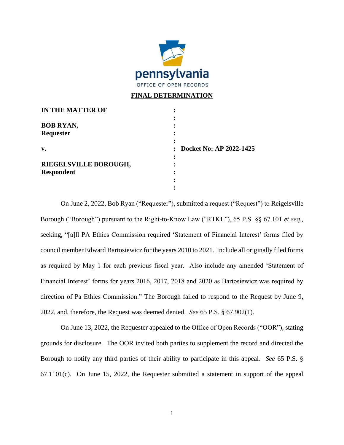

## **FINAL DETERMINATION**

| <b>IN THE MATTER OF</b> |                           |
|-------------------------|---------------------------|
|                         |                           |
| <b>BOB RYAN,</b>        |                           |
| Requester               |                           |
|                         |                           |
| v.                      | : Docket No: AP 2022-1425 |
|                         |                           |
| RIEGELSVILLE BOROUGH,   |                           |
| <b>Respondent</b>       |                           |
|                         |                           |
|                         |                           |

On June 2, 2022, Bob Ryan ("Requester"), submitted a request ("Request") to Reigelsville Borough ("Borough") pursuant to the Right-to-Know Law ("RTKL"), 65 P.S. §§ 67.101 *et seq.,*  seeking, "[a]ll PA Ethics Commission required 'Statement of Financial Interest' forms filed by council member Edward Bartosiewicz for the years 2010 to 2021. Include all originally filed forms as required by May 1 for each previous fiscal year. Also include any amended 'Statement of Financial Interest' forms for years 2016, 2017, 2018 and 2020 as Bartosiewicz was required by direction of Pa Ethics Commission." The Borough failed to respond to the Request by June 9, 2022, and, therefore, the Request was deemed denied. *See* 65 P.S. § 67.902(1).

On June 13, 2022, the Requester appealed to the Office of Open Records ("OOR"), stating grounds for disclosure. The OOR invited both parties to supplement the record and directed the Borough to notify any third parties of their ability to participate in this appeal. *See* 65 P.S. § 67.1101(c). On June 15, 2022, the Requester submitted a statement in support of the appeal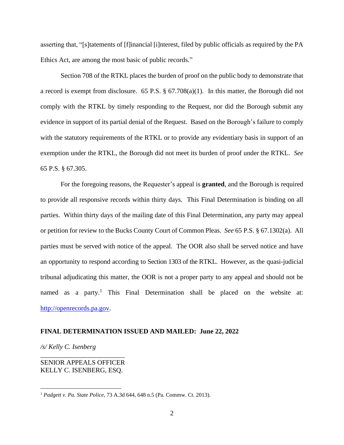asserting that, "[s]tatements of [f]inancial [i]nterest, filed by public officials as required by the PA Ethics Act, are among the most basic of public records."

Section 708 of the RTKL places the burden of proof on the public body to demonstrate that a record is exempt from disclosure. 65 P.S. § 67.708(a)(1). In this matter, the Borough did not comply with the RTKL by timely responding to the Request, nor did the Borough submit any evidence in support of its partial denial of the Request. Based on the Borough's failure to comply with the statutory requirements of the RTKL or to provide any evidentiary basis in support of an exemption under the RTKL, the Borough did not meet its burden of proof under the RTKL. *See*  65 P.S. § 67.305.

For the foregoing reasons, the Requester's appeal is **granted**, and the Borough is required to provide all responsive records within thirty days. This Final Determination is binding on all parties. Within thirty days of the mailing date of this Final Determination, any party may appeal or petition for review to the Bucks County Court of Common Pleas.*See* 65 P.S. § 67.1302(a). All parties must be served with notice of the appeal. The OOR also shall be served notice and have an opportunity to respond according to Section 1303 of the RTKL. However, as the quasi-judicial tribunal adjudicating this matter, the OOR is not a proper party to any appeal and should not be named as a party.<sup>1</sup> This Final Determination shall be placed on the website at: [http://openrecords.pa.gov.](http://openrecords.pa.gov/)

## **FINAL DETERMINATION ISSUED AND MAILED: June 22, 2022**

*/s/ Kelly C. Isenberg*

SENIOR APPEALS OFFICER KELLY C. ISENBERG, ESQ.

\_\_\_\_\_\_\_\_\_\_\_\_\_\_\_\_\_\_\_\_\_\_\_\_\_

<sup>1</sup> *Padgett v. Pa. State Police*, 73 A.3d 644, 648 n.5 (Pa. Commw. Ct. 2013).